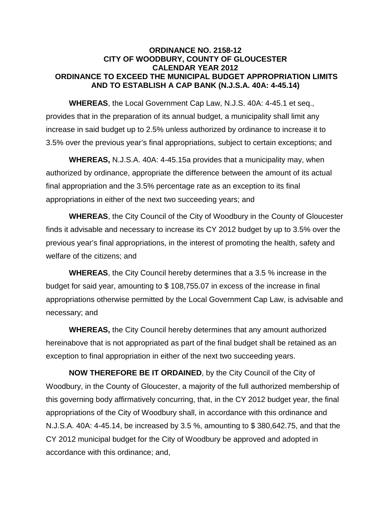## **ORDINANCE NO. 2158-12 CITY OF WOODBURY, COUNTY OF GLOUCESTER CALENDAR YEAR 2012 ORDINANCE TO EXCEED THE MUNICIPAL BUDGET APPROPRIATION LIMITS AND TO ESTABLISH A CAP BANK (N.J.S.A. 40A: 4-45.14)**

**WHEREAS**, the Local Government Cap Law, N.J.S. 40A: 4-45.1 et seq., provides that in the preparation of its annual budget, a municipality shall limit any increase in said budget up to 2.5% unless authorized by ordinance to increase it to 3.5% over the previous year's final appropriations, subject to certain exceptions; and

**WHEREAS,** N.J.S.A. 40A: 4-45.15a provides that a municipality may, when authorized by ordinance, appropriate the difference between the amount of its actual final appropriation and the 3.5% percentage rate as an exception to its final appropriations in either of the next two succeeding years; and

**WHEREAS**, the City Council of the City of Woodbury in the County of Gloucester finds it advisable and necessary to increase its CY 2012 budget by up to 3.5% over the previous year's final appropriations, in the interest of promoting the health, safety and welfare of the citizens; and

**WHEREAS**, the City Council hereby determines that a 3.5 % increase in the budget for said year, amounting to \$ 108,755.07 in excess of the increase in final appropriations otherwise permitted by the Local Government Cap Law, is advisable and necessary; and

**WHEREAS,** the City Council hereby determines that any amount authorized hereinabove that is not appropriated as part of the final budget shall be retained as an exception to final appropriation in either of the next two succeeding years.

**NOW THEREFORE BE IT ORDAINED**, by the City Council of the City of Woodbury, in the County of Gloucester, a majority of the full authorized membership of this governing body affirmatively concurring, that, in the CY 2012 budget year, the final appropriations of the City of Woodbury shall, in accordance with this ordinance and N.J.S.A. 40A: 4-45.14, be increased by 3.5 %, amounting to \$ 380,642.75, and that the CY 2012 municipal budget for the City of Woodbury be approved and adopted in accordance with this ordinance; and,